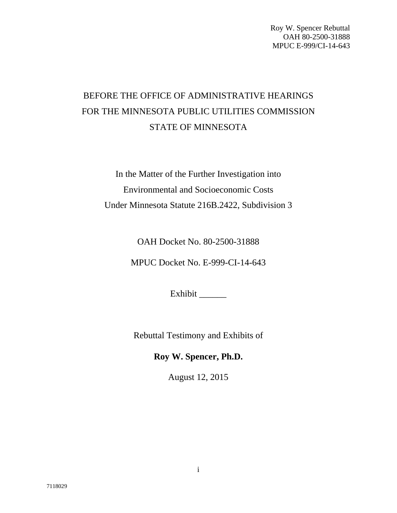# BEFORE THE OFFICE OF ADMINISTRATIVE HEARINGS FOR THE MINNESOTA PUBLIC UTILITIES COMMISSION STATE OF MINNESOTA

In the Matter of the Further Investigation into Environmental and Socioeconomic Costs Under Minnesota Statute 216B.2422, Subdivision 3

OAH Docket No. 80-2500-31888

MPUC Docket No. E-999-CI-14-643

Exhibit \_\_\_\_\_\_

Rebuttal Testimony and Exhibits of

**Roy W. Spencer, Ph.D.** 

August 12, 2015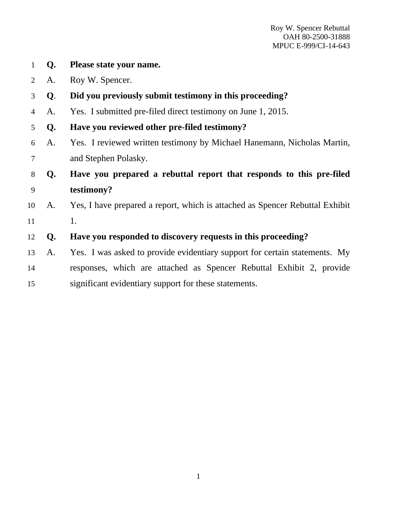1 **Q. Please state your name.** 2 A. Roy W. Spencer. 3 **Q**. **Did you previously submit testimony in this proceeding?**  4 A. Yes. I submitted pre-filed direct testimony on June 1, 2015. 5 **Q. Have you reviewed other pre-filed testimony?**  6 A. Yes. I reviewed written testimony by Michael Hanemann, Nicholas Martin, 7 and Stephen Polasky. 8 **Q. Have you prepared a rebuttal report that responds to this pre-filed**  9 **testimony?**  10 A. Yes, I have prepared a report, which is attached as Spencer Rebuttal Exhibit 11 1. 12 **Q. Have you responded to discovery requests in this proceeding?**  13 A. Yes. I was asked to provide evidentiary support for certain statements. My 14 responses, which are attached as Spencer Rebuttal Exhibit 2, provide 15 significant evidentiary support for these statements.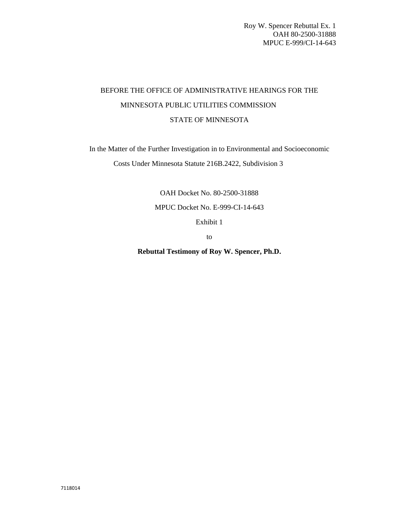### BEFORE THE OFFICE OF ADMINISTRATIVE HEARINGS FOR THE MINNESOTA PUBLIC UTILITIES COMMISSION STATE OF MINNESOTA

In the Matter of the Further Investigation in to Environmental and Socioeconomic

Costs Under Minnesota Statute 216B.2422, Subdivision 3

OAH Docket No. 80-2500-31888

MPUC Docket No. E-999-CI-14-643

Exhibit 1

to

**Rebuttal Testimony of Roy W. Spencer, Ph.D.**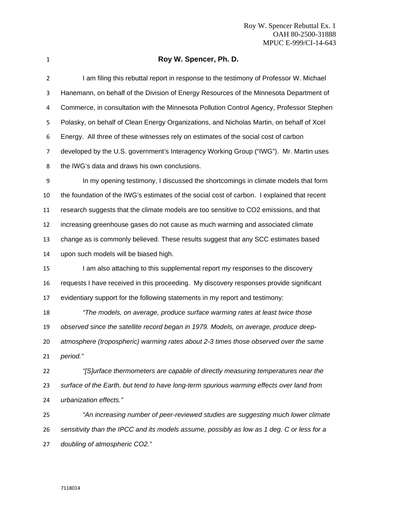| ۰, |
|----|
|    |

### **Roy W. Spencer, Ph. D.**

| 2  | I am filing this rebuttal report in response to the testimony of Professor W. Michael       |
|----|---------------------------------------------------------------------------------------------|
| 3  | Hanemann, on behalf of the Division of Energy Resources of the Minnesota Department of      |
| 4  | Commerce, in consultation with the Minnesota Pollution Control Agency, Professor Stephen    |
| 5  | Polasky, on behalf of Clean Energy Organizations, and Nicholas Martin, on behalf of Xcel    |
| 6  | Energy. All three of these witnesses rely on estimates of the social cost of carbon         |
| 7  | developed by the U.S. government's Interagency Working Group ("IWG"). Mr. Martin uses       |
| 8  | the IWG's data and draws his own conclusions.                                               |
| 9  | In my opening testimony, I discussed the shortcomings in climate models that form           |
| 10 | the foundation of the IWG's estimates of the social cost of carbon. I explained that recent |
| 11 | research suggests that the climate models are too sensitive to CO2 emissions, and that      |
| 12 | increasing greenhouse gases do not cause as much warming and associated climate             |
| 13 | change as is commonly believed. These results suggest that any SCC estimates based          |
| 14 | upon such models will be biased high.                                                       |
| 15 | I am also attaching to this supplemental report my responses to the discovery               |
| 16 | requests I have received in this proceeding. My discovery responses provide significant     |
| 17 | evidentiary support for the following statements in my report and testimony:                |
| 18 | "The models, on average, produce surface warming rates at least twice those                 |
| 19 | observed since the satellite record began in 1979. Models, on average, produce deep-        |
| 20 | atmosphere (tropospheric) warming rates about 2-3 times those observed over the same        |
| 21 | period."                                                                                    |
| 22 | "[S]urface thermometers are capable of directly measuring temperatures near the             |
| 23 | surface of the Earth, but tend to have long-term spurious warming effects over land from    |
| 24 | urbanization effects."                                                                      |
| 25 | "An increasing number of peer-reviewed studies are suggesting much lower climate            |
| 26 | sensitivity than the IPCC and its models assume, possibly as low as 1 deg. C or less for a  |

*doubling of atmospheric CO2."*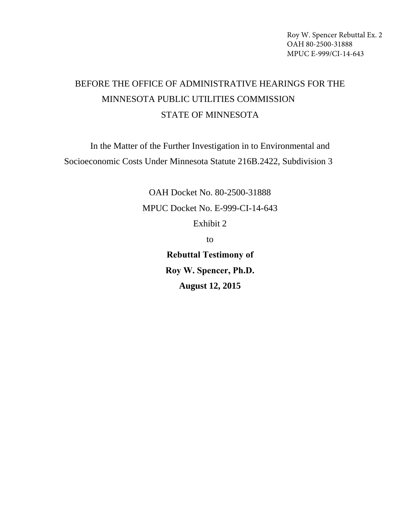## BEFORE THE OFFICE OF ADMINISTRATIVE HEARINGS FOR THE MINNESOTA PUBLIC UTILITIES COMMISSION STATE OF MINNESOTA

In the Matter of the Further Investigation in to Environmental and Socioeconomic Costs Under Minnesota Statute 216B.2422, Subdivision 3

> OAH Docket No. 80-2500-31888 MPUC Docket No. E-999-CI-14-643 Exhibit 2 to

**Rebuttal Testimony of Roy W. Spencer, Ph.D. August 12, 2015**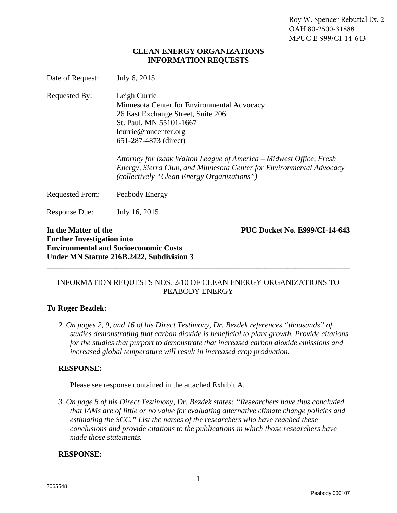#### **CLEAN ENERGY ORGANIZATIONS INFORMATION REQUESTS**

| Date of Request:                                          | July 6, 2015                                                                                                                                                                                                                                                                                                                                                                |
|-----------------------------------------------------------|-----------------------------------------------------------------------------------------------------------------------------------------------------------------------------------------------------------------------------------------------------------------------------------------------------------------------------------------------------------------------------|
| Requested By:                                             | Leigh Currie<br>Minnesota Center for Environmental Advocacy<br>26 East Exchange Street, Suite 206<br>St. Paul, MN 55101-1667<br>lcurrie@mncenter.org<br>651-287-4873 (direct)<br>Attorney for Izaak Walton League of America – Midwest Office, Fresh<br>Energy, Sierra Club, and Minnesota Center for Environmental Advocacy<br>(collectively "Clean Energy Organizations") |
| Requested From:                                           | Peabody Energy                                                                                                                                                                                                                                                                                                                                                              |
| <b>Response Due:</b>                                      | July 16, 2015                                                                                                                                                                                                                                                                                                                                                               |
| In the Matter of the<br><b>Further Investigation into</b> | <b>PUC Docket No. E999/CI-14-643</b><br><b>Environmental and Socioeconomic Costs</b>                                                                                                                                                                                                                                                                                        |

#### INFORMATION REQUESTS NOS. 2-10 OF CLEAN ENERGY ORGANIZATIONS TO PEABODY ENERGY

\_\_\_\_\_\_\_\_\_\_\_\_\_\_\_\_\_\_\_\_\_\_\_\_\_\_\_\_\_\_\_\_\_\_\_\_\_\_\_\_\_\_\_\_\_\_\_\_\_\_\_\_\_\_\_\_\_\_\_\_\_\_\_\_\_\_\_\_\_\_\_\_\_\_\_\_\_\_

#### **To Roger Bezdek:**

**Under MN Statute 216B.2422, Subdivision 3**

*2. On pages 2, 9, and 16 of his Direct Testimony, Dr. Bezdek references "thousands" of studies demonstrating that carbon dioxide is beneficial to plant growth. Provide citations for the studies that purport to demonstrate that increased carbon dioxide emissions and increased global temperature will result in increased crop production.* 

#### **RESPONSE:**

Please see response contained in the attached Exhibit A.

*3. On page 8 of his Direct Testimony, Dr. Bezdek states: "Researchers have thus concluded that IAMs are of little or no value for evaluating alternative climate change policies and estimating the SCC." List the names of the researchers who have reached these conclusions and provide citations to the publications in which those researchers have made those statements.* 

#### **RESPONSE:**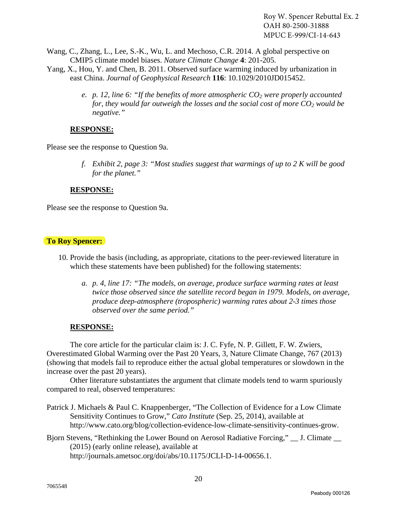- Wang, C., Zhang, L., Lee, S.-K., Wu, L. and Mechoso, C.R. 2014. A global perspective on CMIP5 climate model biases. *Nature Climate Change* **4**: 201-205.
- Yang, X., Hou, Y. and Chen, B. 2011. Observed surface warming induced by urbanization in east China. *Journal of Geophysical Research* **116**: 10.1029/2010JD015452.
	- *e.* p. 12, line 6: "If the benefits of more atmospheric  $CO_2$  were properly accounted *for, they would far outweigh the losses and the social cost of more*  $CO<sub>2</sub>$  *would be negative."*

#### **RESPONSE:**

Please see the response to Question 9a.

*f. Exhibit 2, page 3: "Most studies suggest that warmings of up to 2 K will be good for the planet."*

#### **RESPONSE:**

Please see the response to Question 9a.

#### **To Roy Spencer:**

- 10. Provide the basis (including, as appropriate, citations to the peer-reviewed literature in which these statements have been published) for the following statements:
	- *a. p. 4, line 17: "The models, on average, produce surface warming rates at least twice those observed since the satellite record began in 1979. Models, on average, produce deep-atmosphere (tropospheric) warming rates about 2-3 times those observed over the same period."*

#### **RESPONSE:**

The core article for the particular claim is: J. C. Fyfe, N. P. Gillett, F. W. Zwiers, Overestimated Global Warming over the Past 20 Years, 3, Nature Climate Change, 767 (2013) (showing that models fail to reproduce either the actual global temperatures or slowdown in the increase over the past 20 years).

Other literature substantiates the argument that climate models tend to warm spuriously compared to real, observed temperatures:

- Patrick J. Michaels & Paul C. Knappenberger, "The Collection of Evidence for a Low Climate Sensitivity Continues to Grow," *Cato Institute* (Sep. 25, 2014), available at http://www.cato.org/blog/collection-evidence-low-climate-sensitivity-continues-grow.
- Bjorn Stevens, "Rethinking the Lower Bound on Aerosol Radiative Forcing," \_\_ J. Climate \_\_ (2015) (early online release), available at http://journals.ametsoc.org/doi/abs/10.1175/JCLI-D-14-00656.1.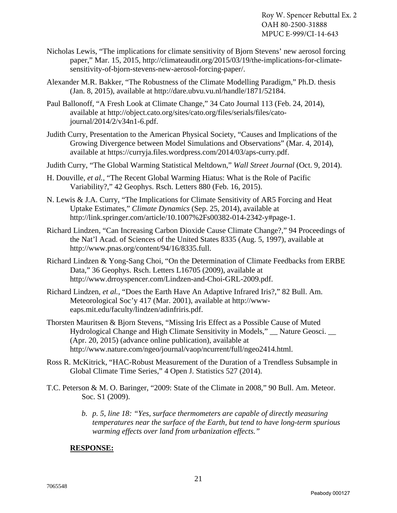- Nicholas Lewis, "The implications for climate sensitivity of Bjorn Stevens' new aerosol forcing paper," Mar. 15, 2015, http://climateaudit.org/2015/03/19/the-implications-for-climatesensitivity-of-bjorn-stevens-new-aerosol-forcing-paper/.
- Alexander M.R. Bakker, "The Robustness of the Climate Modelling Paradigm," Ph.D. thesis (Jan. 8, 2015), available at http://dare.ubvu.vu.nl/handle/1871/52184.
- Paul Ballonoff, "A Fresh Look at Climate Change," 34 Cato Journal 113 (Feb. 24, 2014), available at http://object.cato.org/sites/cato.org/files/serials/files/catojournal/2014/2/v34n1-6.pdf.
- Judith Curry, Presentation to the American Physical Society, "Causes and Implications of the Growing Divergence between Model Simulations and Observations" (Mar. 4, 2014), available at https://curryja.files.wordpress.com/2014/03/aps-curry.pdf.
- Judith Curry, "The Global Warming Statistical Meltdown," *Wall Street Journal* (Oct. 9, 2014).
- H. Douville, *et al.*, "The Recent Global Warming Hiatus: What is the Role of Pacific Variability?," 42 Geophys. Rsch. Letters 880 (Feb. 16, 2015).
- N. Lewis & J.A. Curry, "The Implications for Climate Sensitivity of AR5 Forcing and Heat Uptake Estimates," *Climate Dynamics* (Sep. 25, 2014), available at http://link.springer.com/article/10.1007%2Fs00382-014-2342-y#page-1.
- Richard Lindzen, "Can Increasing Carbon Dioxide Cause Climate Change?," 94 Proceedings of the Nat'l Acad. of Sciences of the United States 8335 (Aug. 5, 1997), available at http://www.pnas.org/content/94/16/8335.full.
- Richard Lindzen & Yong-Sang Choi, "On the Determination of Climate Feedbacks from ERBE Data," 36 Geophys. Rsch. Letters L16705 (2009), available at http://www.drroyspencer.com/Lindzen-and-Choi-GRL-2009.pdf.
- Richard Lindzen, *et al.*, "Does the Earth Have An Adaptive Infrared Iris?," 82 Bull. Am. Meteorological Soc'y 417 (Mar. 2001), available at http://wwweaps.mit.edu/faculty/lindzen/adinfriris.pdf.
- Thorsten Mauritsen & Bjorn Stevens, "Missing Iris Effect as a Possible Cause of Muted Hydrological Change and High Climate Sensitivity in Models," \_\_ Nature Geosci. \_\_ (Apr. 20, 2015) (advance online publication), available at http://www.nature.com/ngeo/journal/vaop/ncurrent/full/ngeo2414.html.
- Ross R. McKitrick, "HAC-Robust Measurement of the Duration of a Trendless Subsample in Global Climate Time Series," 4 Open J. Statistics 527 (2014).
- T.C. Peterson & M. O. Baringer, "2009: State of the Climate in 2008," 90 Bull. Am. Meteor. Soc. S1 (2009).
	- *b. p. 5, line 18: "Yes, surface thermometers are capable of directly measuring temperatures near the surface of the Earth, but tend to have long-term spurious warming effects over land from urbanization effects."*

#### **RESPONSE:**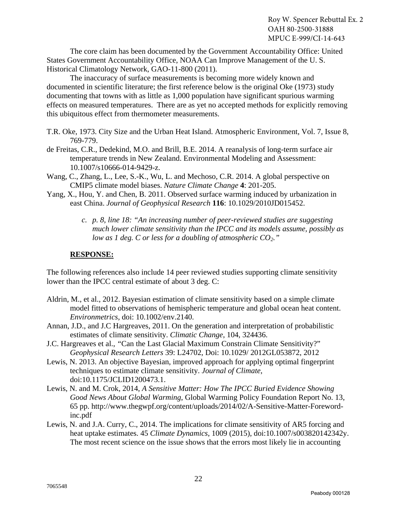The core claim has been documented by the Government Accountability Office: United States Government Accountability Office, NOAA Can Improve Management of the U. S. Historical Climatology Network, GAO-11-800 (2011).

The inaccuracy of surface measurements is becoming more widely known and documented in scientific literature; the first reference below is the original Oke (1973) study documenting that towns with as little as 1,000 population have significant spurious warming effects on measured temperatures. There are as yet no accepted methods for explicitly removing this ubiquitous effect from thermometer measurements.

- T.R. Oke, 1973. City Size and the Urban Heat Island. Atmospheric Environment, Vol. 7, Issue 8, 769-779.
- de Freitas, C.R., Dedekind, M.O. and Brill, B.E. 2014. A reanalysis of long-term surface air temperature trends in New Zealand. Environmental Modeling and Assessment: 10.1007/s10666-014-9429-z.
- Wang, C., Zhang, L., Lee, S.-K., Wu, L. and Mechoso, C.R. 2014. A global perspective on CMIP5 climate model biases. *Nature Climate Change* **4**: 201-205.
- Yang, X., Hou, Y. and Chen, B. 2011. Observed surface warming induced by urbanization in east China. *Journal of Geophysical Research* **116**: 10.1029/2010JD015452.
	- *c. p. 8, line 18: "An increasing number of peer-reviewed studies are suggesting much lower climate sensitivity than the IPCC and its models assume, possibly as low as 1 deg. C or less for a doubling of atmospheric CO2."*

#### **RESPONSE:**

The following references also include 14 peer reviewed studies supporting climate sensitivity lower than the IPCC central estimate of about 3 deg. C:

- Aldrin, M., et al., 2012. Bayesian estimation of climate sensitivity based on a simple climate model fitted to observations of hemispheric temperature and global ocean heat content. *Environmetrics*, doi: 10.1002/env.2140.
- Annan, J.D., and J.C Hargreaves, 2011. On the generation and interpretation of probabilistic estimates of climate sensitivity. *Climatic Change*, 104, 324436.
- J.C. Hargreaves et al., *"*Can the Last Glacial Maximum Constrain Climate Sensitivity?" *Geophysical Research Letters* 39: L24702, Doi: 10.1029/ 2012GL053872, 2012
- Lewis, N. 2013. An objective Bayesian, improved approach for applying optimal fingerprint techniques to estimate climate sensitivity. *Journal of Climate*, doi:10.1175/JCLID1200473.1.
- Lewis, N. and M. Crok, 2014, *A Sensitive Matter: How The IPCC Buried Evidence Showing Good News About Global Warming*, Global Warming Policy Foundation Report No. 13, 65 pp. http://www.thegwpf.org/content/uploads/2014/02/A-Sensitive-Matter-Forewordinc.pdf
- Lewis, N. and J.A. Curry, C., 2014. The implications for climate sensitivity of AR5 forcing and heat uptake estimates. 45 *Climate Dynamics*, 1009 (2015), doi:10.1007/s003820142342y. The most recent science on the issue shows that the errors most likely lie in accounting